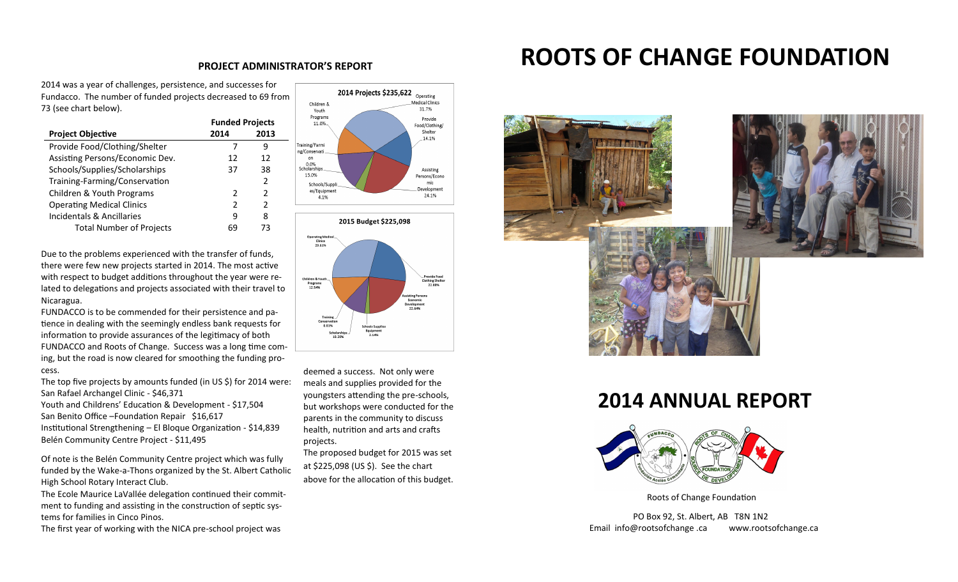2014 was a year of challenges, persistence, and successes for Fundacco. The number of funded projects decreased to 69 from 73 (see chart below).

|                                  | <b>Funded Projects</b> |               |
|----------------------------------|------------------------|---------------|
| <b>Project Objective</b>         | 2014                   | 2013          |
| Provide Food/Clothing/Shelter    |                        | ч             |
| Assisting Persons/Economic Dev.  | 12                     | 12            |
| Schools/Supplies/Scholarships    | 37                     | 38            |
| Training-Farming/Conservation    |                        | $\mathcal{P}$ |
| Children & Youth Programs        | 2                      | 2             |
| <b>Operating Medical Clinics</b> | $\mathcal{P}$          | 2             |
| Incidentals & Ancillaries        | q                      | 8             |
| <b>Total Number of Projects</b>  | 69                     | 73            |

Due to the problems experienced with the transfer of funds, there were few new projects started in 2014. The most active with respect to budget additions throughout the year were related to delegations and projects associated with their travel to Nicaragua.

FUNDACCO is to be commended for their persistence and patience in dealing with the seemingly endless bank requests for information to provide assurances of the legitimacy of both FUNDACCO and Roots of Change. Success was a long time coming, but the road is now cleared for smoothing the funding process.

The top five projects by amounts funded (in US \$) for 2014 were: San Rafael Archangel Clinic - \$46,371 Youth and Childrens' Education & Development - \$17,504 San Benito Office –Foundation Repair \$16,617 Institutional Strengthening – El Bloque Organization - \$14,839 Belén Community Centre Project - \$11,495

Of note is the Belén Community Centre project which was fully funded by the Wake-a-Thons organized by the St. Albert Catholic High School Rotary Interact Club.

The Ecole Maurice LaVallée delegation continued their commitment to funding and assisting in the construction of septic systems for families in Cinco Pinos.

The first year of working with the NICA pre-school project was





deemed a success. Not only were meals and supplies provided for the youngsters attending the pre-schools, but workshops were conducted for the parents in the community to discuss health, nutrition and arts and crafts projects.

The proposed budget for 2015 was set at \$225,098 (US \$). See the chart above for the allocation of this budget.

# PROJECT ADMINISTRATOR'S REPORT **ROOTS OF CHANGE FOUNDATION**



## **2014 ANNUAL REPORT**



Roots of Change Foundation

PO Box 92, St. Albert, AB T8N 1N2 Email info@rootsofchange .ca www.rootsofchange.ca